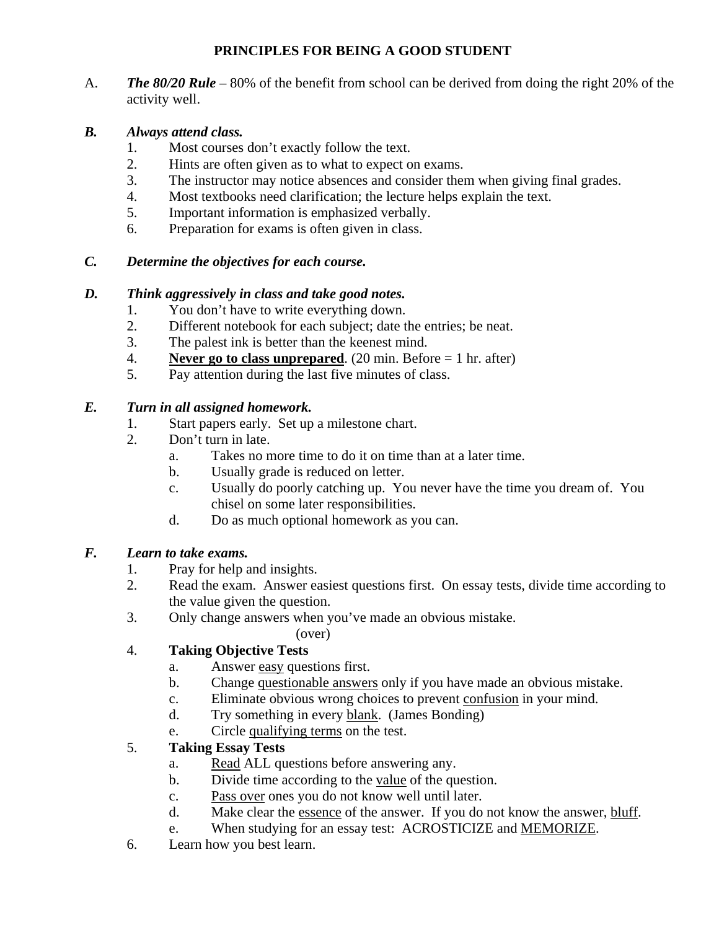# **PRINCIPLES FOR BEING A GOOD STUDENT**

A. *The 80/20 Rule* – 80% of the benefit from school can be derived from doing the right 20% of the activity well.

### *B. Always attend class.*

- 1. Most courses don't exactly follow the text.
- 2. Hints are often given as to what to expect on exams.
- 3. The instructor may notice absences and consider them when giving final grades.
- 4. Most textbooks need clarification; the lecture helps explain the text.
- 5. Important information is emphasized verbally.
- 6. Preparation for exams is often given in class.

### *C. Determine the objectives for each course.*

### *D. Think aggressively in class and take good notes.*

- 1. You don't have to write everything down.
- 2. Different notebook for each subject; date the entries; be neat.
- 3. The palest ink is better than the keenest mind.
- 4. **Never go to class unprepared**. (20 min. Before = 1 hr. after)
- 5. Pay attention during the last five minutes of class.

### *E. Turn in all assigned homework.*

- 1. Start papers early. Set up a milestone chart.
- 2. Don't turn in late.
	- a. Takes no more time to do it on time than at a later time.
	- b. Usually grade is reduced on letter.
	- c. Usually do poorly catching up. You never have the time you dream of. You chisel on some later responsibilities.
	- d. Do as much optional homework as you can.

### *F. Learn to take exams.*

- 1. Pray for help and insights.
- 2. Read the exam. Answer easiest questions first. On essay tests, divide time according to the value given the question.
- 3. Only change answers when you've made an obvious mistake.
	- (over)

# 4. **Taking Objective Tests**

- a. Answer easy questions first.
- b. Change questionable answers only if you have made an obvious mistake.
- c. Eliminate obvious wrong choices to prevent confusion in your mind.
- d. Try something in every blank. (James Bonding)
- e. Circle qualifying terms on the test.

# 5. **Taking Essay Tests**

- a. Read ALL questions before answering any.
- b. Divide time according to the value of the question.
- c. Pass over ones you do not know well until later.
- d. Make clear the essence of the answer. If you do not know the answer, bluff.
- e. When studying for an essay test: ACROSTICIZE and MEMORIZE.
- 6. Learn how you best learn.